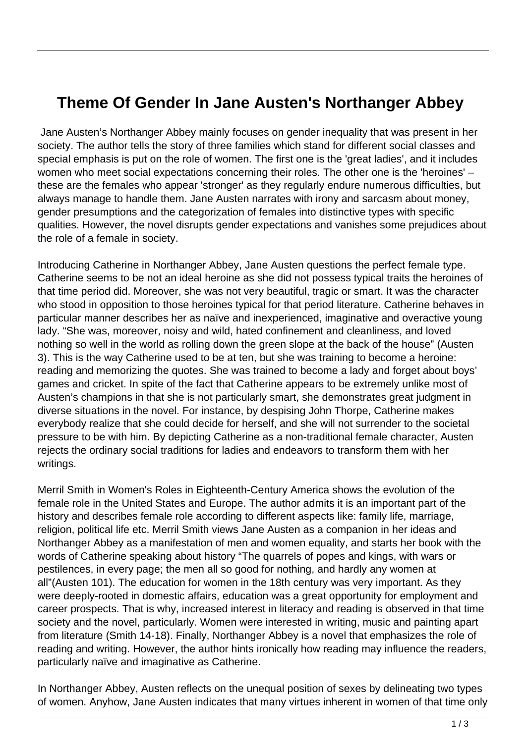## **Theme Of Gender In Jane Austen's Northanger Abbey**

 Jane Austen's Northanger Abbey mainly focuses on gender inequality that was present in her society. The author tells the story of three families which stand for different social classes and special emphasis is put on the role of women. The first one is the 'great ladies', and it includes women who meet social expectations concerning their roles. The other one is the 'heroines' – these are the females who appear 'stronger' as they regularly endure numerous difficulties, but always manage to handle them. Jane Austen narrates with irony and sarcasm about money, gender presumptions and the categorization of females into distinctive types with specific qualities. However, the novel disrupts gender expectations and vanishes some prejudices about the role of a female in society.

Introducing Catherine in Northanger Abbey, Jane Austen questions the perfect female type. Catherine seems to be not an ideal heroine as she did not possess typical traits the heroines of that time period did. Moreover, she was not very beautiful, tragic or smart. It was the character who stood in opposition to those heroines typical for that period literature. Catherine behaves in particular manner describes her as naïve and inexperienced, imaginative and overactive young lady. "She was, moreover, noisy and wild, hated confinement and cleanliness, and loved nothing so well in the world as rolling down the green slope at the back of the house" (Austen 3). This is the way Catherine used to be at ten, but she was training to become a heroine: reading and memorizing the quotes. She was trained to become a lady and forget about boys' games and cricket. In spite of the fact that Catherine appears to be extremely unlike most of Austen's champions in that she is not particularly smart, she demonstrates great judgment in diverse situations in the novel. For instance, by despising John Thorpe, Catherine makes everybody realize that she could decide for herself, and she will not surrender to the societal pressure to be with him. By depicting Catherine as a non-traditional female character, Austen rejects the ordinary social traditions for ladies and endeavors to transform them with her writings.

Merril Smith in Women's Roles in Eighteenth-Century America shows the evolution of the female role in the United States and Europe. The author admits it is an important part of the history and describes female role according to different aspects like: family life, marriage, religion, political life etc. Merril Smith views Jane Austen as a companion in her ideas and Northanger Abbey as a manifestation of men and women equality, and starts her book with the words of Catherine speaking about history "The quarrels of popes and kings, with wars or pestilences, in every page; the men all so good for nothing, and hardly any women at all"(Austen 101). The education for women in the 18th century was very important. As they were deeply-rooted in domestic affairs, education was a great opportunity for employment and career prospects. That is why, increased interest in literacy and reading is observed in that time society and the novel, particularly. Women were interested in writing, music and painting apart from literature (Smith 14-18). Finally, Northanger Abbey is a novel that emphasizes the role of reading and writing. However, the author hints ironically how reading may influence the readers, particularly naïve and imaginative as Catherine.

In Northanger Abbey, Austen reflects on the unequal position of sexes by delineating two types of women. Anyhow, Jane Austen indicates that many virtues inherent in women of that time only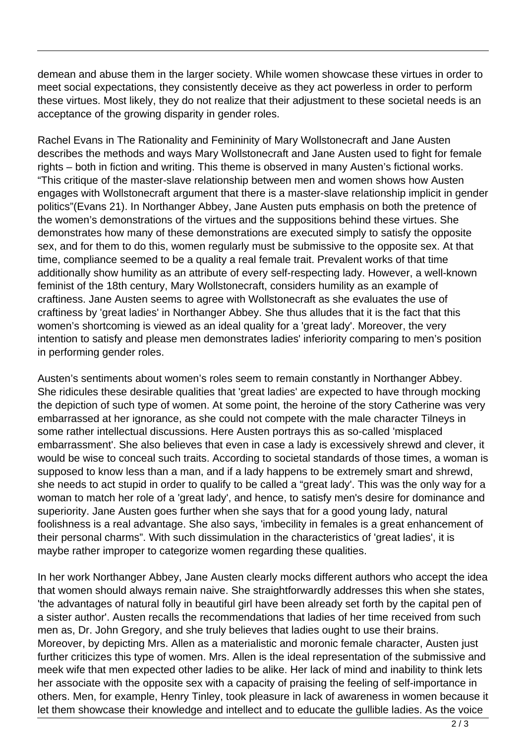demean and abuse them in the larger society. While women showcase these virtues in order to meet social expectations, they consistently deceive as they act powerless in order to perform these virtues. Most likely, they do not realize that their adjustment to these societal needs is an acceptance of the growing disparity in gender roles.

Rachel Evans in The Rationality and Femininity of Mary Wollstonecraft and Jane Austen describes the methods and ways Mary Wollstonecraft and Jane Austen used to fight for female rights – both in fiction and writing. This theme is observed in many Austen's fictional works. "This critique of the master-slave relationship between men and women shows how Austen engages with Wollstonecraft argument that there is a master-slave relationship implicit in gender politics"(Evans 21). In Northanger Abbey, Jane Austen puts emphasis on both the pretence of the women's demonstrations of the virtues and the suppositions behind these virtues. She demonstrates how many of these demonstrations are executed simply to satisfy the opposite sex, and for them to do this, women regularly must be submissive to the opposite sex. At that time, compliance seemed to be a quality a real female trait. Prevalent works of that time additionally show humility as an attribute of every self-respecting lady. However, a well-known feminist of the 18th century, Mary Wollstonecraft, considers humility as an example of craftiness. Jane Austen seems to agree with Wollstonecraft as she evaluates the use of craftiness by 'great ladies' in Northanger Abbey. She thus alludes that it is the fact that this women's shortcoming is viewed as an ideal quality for a 'great lady'. Moreover, the very intention to satisfy and please men demonstrates ladies' inferiority comparing to men's position in performing gender roles.

Austen's sentiments about women's roles seem to remain constantly in Northanger Abbey. She ridicules these desirable qualities that 'great ladies' are expected to have through mocking the depiction of such type of women. At some point, the heroine of the story Catherine was very embarrassed at her ignorance, as she could not compete with the male character Tilneys in some rather intellectual discussions. Here Austen portrays this as so-called 'misplaced embarrassment'. She also believes that even in case a lady is excessively shrewd and clever, it would be wise to conceal such traits. According to societal standards of those times, a woman is supposed to know less than a man, and if a lady happens to be extremely smart and shrewd, she needs to act stupid in order to qualify to be called a "great lady'. This was the only way for a woman to match her role of a 'great lady', and hence, to satisfy men's desire for dominance and superiority. Jane Austen goes further when she says that for a good young lady, natural foolishness is a real advantage. She also says, 'imbecility in females is a great enhancement of their personal charms". With such dissimulation in the characteristics of 'great ladies', it is maybe rather improper to categorize women regarding these qualities.

In her work Northanger Abbey, Jane Austen clearly mocks different authors who accept the idea that women should always remain naive. She straightforwardly addresses this when she states, 'the advantages of natural folly in beautiful girl have been already set forth by the capital pen of a sister author'. Austen recalls the recommendations that ladies of her time received from such men as, Dr. John Gregory, and she truly believes that ladies ought to use their brains. Moreover, by depicting Mrs. Allen as a materialistic and moronic female character, Austen just further criticizes this type of women. Mrs. Allen is the ideal representation of the submissive and meek wife that men expected other ladies to be alike. Her lack of mind and inability to think lets her associate with the opposite sex with a capacity of praising the feeling of self-importance in others. Men, for example, Henry Tinley, took pleasure in lack of awareness in women because it let them showcase their knowledge and intellect and to educate the gullible ladies. As the voice